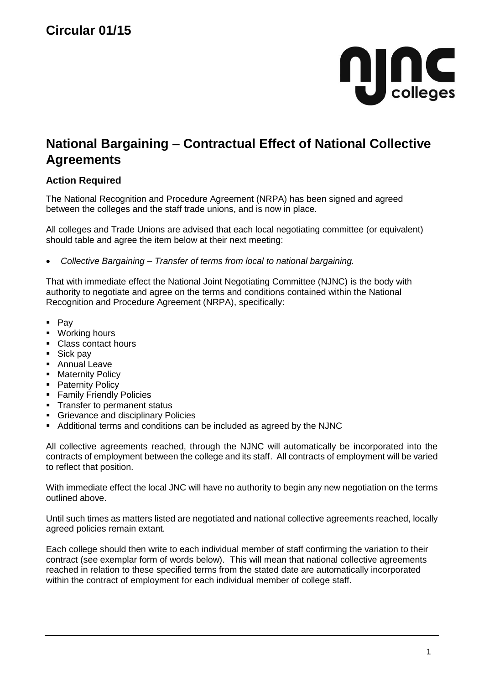

## **National Bargaining – Contractual Effect of National Collective Agreements**

## **Action Required**

The National Recognition and Procedure Agreement (NRPA) has been signed and agreed between the colleges and the staff trade unions, and is now in place.

All colleges and Trade Unions are advised that each local negotiating committee (or equivalent) should table and agree the item below at their next meeting:

*Collective Bargaining – Transfer of terms from local to national bargaining.*

That with immediate effect the National Joint Negotiating Committee (NJNC) is the body with authority to negotiate and agree on the terms and conditions contained within the National Recognition and Procedure Agreement (NRPA), specifically:

- $Pay$
- **•** Working hours
- Class contact hours
- **Sick pay**
- **Annual Leave**
- **-** Maternity Policy
- Paternity Policy
- **Family Friendly Policies**
- **Transfer to permanent status**
- **Grievance and disciplinary Policies**
- Additional terms and conditions can be included as agreed by the NJNC

All collective agreements reached, through the NJNC will automatically be incorporated into the contracts of employment between the college and its staff. All contracts of employment will be varied to reflect that position.

With immediate effect the local JNC will have no authority to begin any new negotiation on the terms outlined above.

Until such times as matters listed are negotiated and national collective agreements reached, locally agreed policies remain extant*.* 

Each college should then write to each individual member of staff confirming the variation to their contract (see exemplar form of words below). This will mean that national collective agreements reached in relation to these specified terms from the stated date are automatically incorporated within the contract of employment for each individual member of college staff.